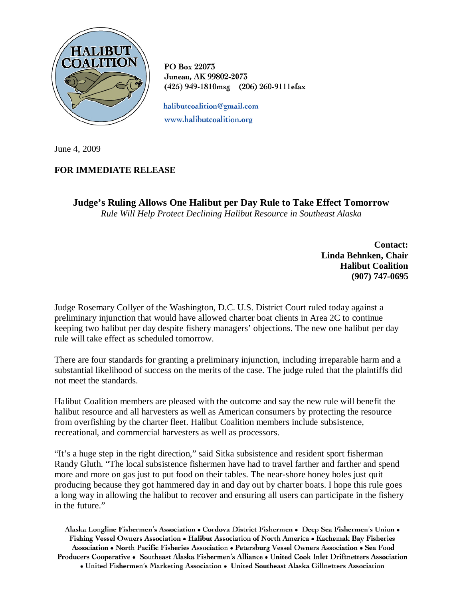

PO Box 22073 Juneau, AK 99802-2073 (425) 949-1810msg (206) 260-9111efax

halibutcoalition@gmail.com www.halibutcoalition.org

June 4, 2009

## **FOR IMMEDIATE RELEASE**

**Judge's Ruling Allows One Halibut per Day Rule to Take Effect Tomorrow**

*Rule Will Help Protect Declining Halibut Resource in Southeast Alaska*

**Contact: Linda Behnken, Chair Halibut Coalition (907) 747-0695**

Judge Rosemary Collyer of the Washington, D.C. U.S. District Court ruled today against a preliminary injunction that would have allowed charter boat clients in Area 2C to continue keeping two halibut per day despite fishery managers' objections. The new one halibut per day rule will take effect as scheduled tomorrow.

There are four standards for granting a preliminary injunction, including irreparable harm and a substantial likelihood of success on the merits of the case. The judge ruled that the plaintiffs did not meet the standards.

Halibut Coalition members are pleased with the outcome and say the new rule will benefit the halibut resource and all harvesters as well as American consumers by protecting the resource from overfishing by the charter fleet. Halibut Coalition members include subsistence, recreational, and commercial harvesters as well as processors.

"It's a huge step in the right direction," said Sitka subsistence and resident sport fisherman Randy Gluth. "The local subsistence fishermen have had to travel farther and farther and spend more and more on gas just to put food on their tables. The near-shore honey holes just quit producing because they got hammered day in and day out by charter boats. I hope this rule goes a long way in allowing the halibut to recover and ensuring all users can participate in the fishery in the future."

Alaska Longline Fishermen's Association • Cordova District Fishermen • Deep Sea Fishermen's Union • Fishing Vessel Owners Association . Halibut Association of North America . Kachemak Bay Fisheries Association • North Pacific Fisheries Association • Petersburg Vessel Owners Association • Sea Food Producers Cooperative • Southeast Alaska Fishermen's Alliance • United Cook Inlet Driftnetters Association

• United Fishermen's Marketing Association • United Southeast Alaska Gillnetters Association